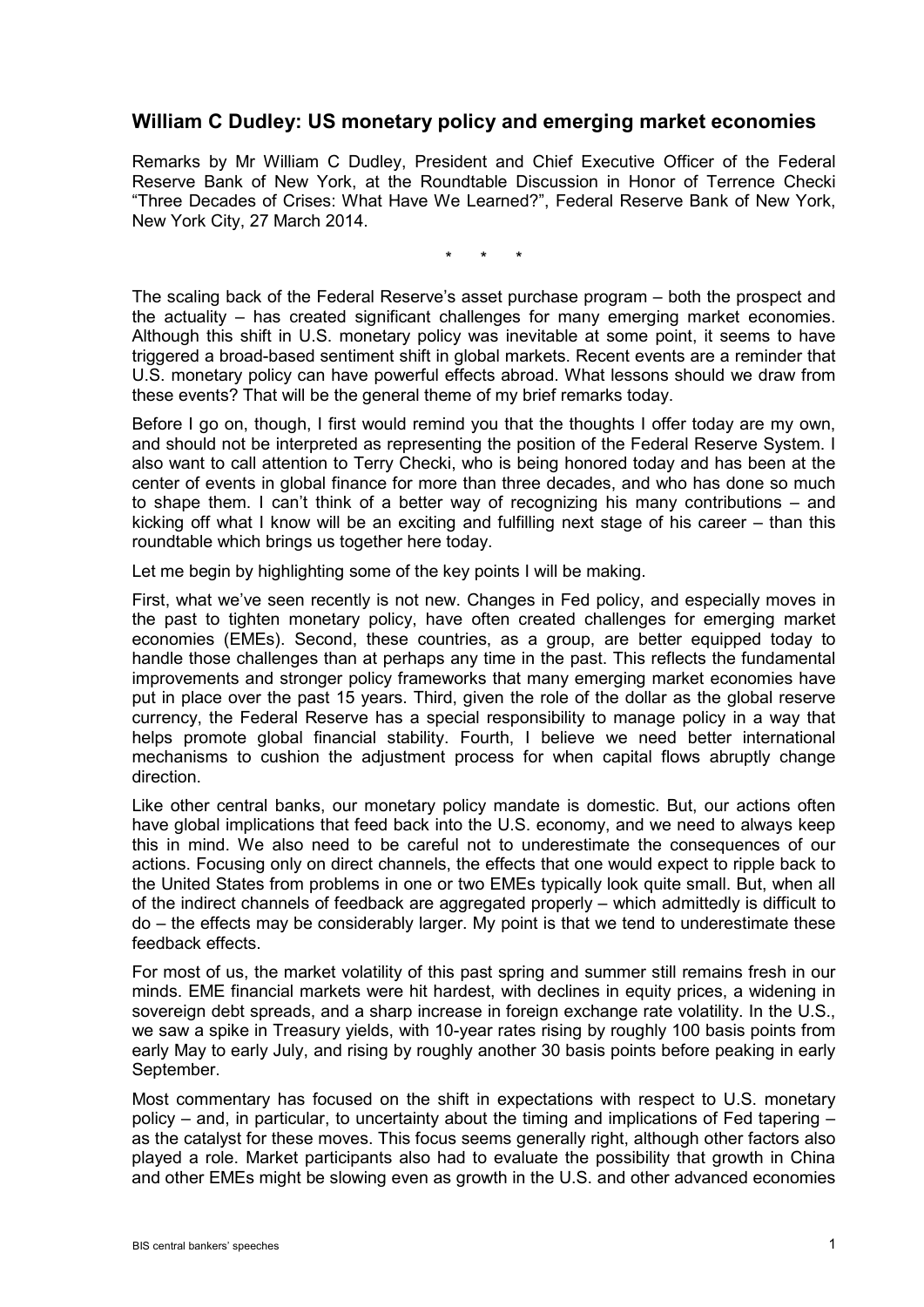## **William C Dudley: US monetary policy and emerging market economies**

Remarks by Mr William C Dudley, President and Chief Executive Officer of the Federal Reserve Bank of New York, at the Roundtable Discussion in Honor of Terrence Checki "Three Decades of Crises: What Have We Learned?", Federal Reserve Bank of New York, New York City, 27 March 2014.

\* \* \*

The scaling back of the Federal Reserve's asset purchase program – both the prospect and the actuality – has created significant challenges for many emerging market economies. Although this shift in U.S. monetary policy was inevitable at some point, it seems to have triggered a broad-based sentiment shift in global markets. Recent events are a reminder that U.S. monetary policy can have powerful effects abroad. What lessons should we draw from these events? That will be the general theme of my brief remarks today.

Before I go on, though, I first would remind you that the thoughts I offer today are my own, and should not be interpreted as representing the position of the Federal Reserve System. I also want to call attention to Terry Checki, who is being honored today and has been at the center of events in global finance for more than three decades, and who has done so much to shape them. I can't think of a better way of recognizing his many contributions – and kicking off what I know will be an exciting and fulfilling next stage of his career – than this roundtable which brings us together here today.

Let me begin by highlighting some of the key points I will be making.

First, what we've seen recently is not new. Changes in Fed policy, and especially moves in the past to tighten monetary policy, have often created challenges for emerging market economies (EMEs). Second, these countries, as a group, are better equipped today to handle those challenges than at perhaps any time in the past. This reflects the fundamental improvements and stronger policy frameworks that many emerging market economies have put in place over the past 15 years. Third, given the role of the dollar as the global reserve currency, the Federal Reserve has a special responsibility to manage policy in a way that helps promote global financial stability. Fourth, I believe we need better international mechanisms to cushion the adjustment process for when capital flows abruptly change direction.

Like other central banks, our monetary policy mandate is domestic. But, our actions often have global implications that feed back into the U.S. economy, and we need to always keep this in mind. We also need to be careful not to underestimate the consequences of our actions. Focusing only on direct channels, the effects that one would expect to ripple back to the United States from problems in one or two EMEs typically look quite small. But, when all of the indirect channels of feedback are aggregated properly – which admittedly is difficult to do – the effects may be considerably larger. My point is that we tend to underestimate these feedback effects.

For most of us, the market volatility of this past spring and summer still remains fresh in our minds. EME financial markets were hit hardest, with declines in equity prices, a widening in sovereign debt spreads, and a sharp increase in foreign exchange rate volatility. In the U.S., we saw a spike in Treasury yields, with 10-year rates rising by roughly 100 basis points from early May to early July, and rising by roughly another 30 basis points before peaking in early September.

Most commentary has focused on the shift in expectations with respect to U.S. monetary policy – and, in particular, to uncertainty about the timing and implications of Fed tapering – as the catalyst for these moves. This focus seems generally right, although other factors also played a role. Market participants also had to evaluate the possibility that growth in China and other EMEs might be slowing even as growth in the U.S. and other advanced economies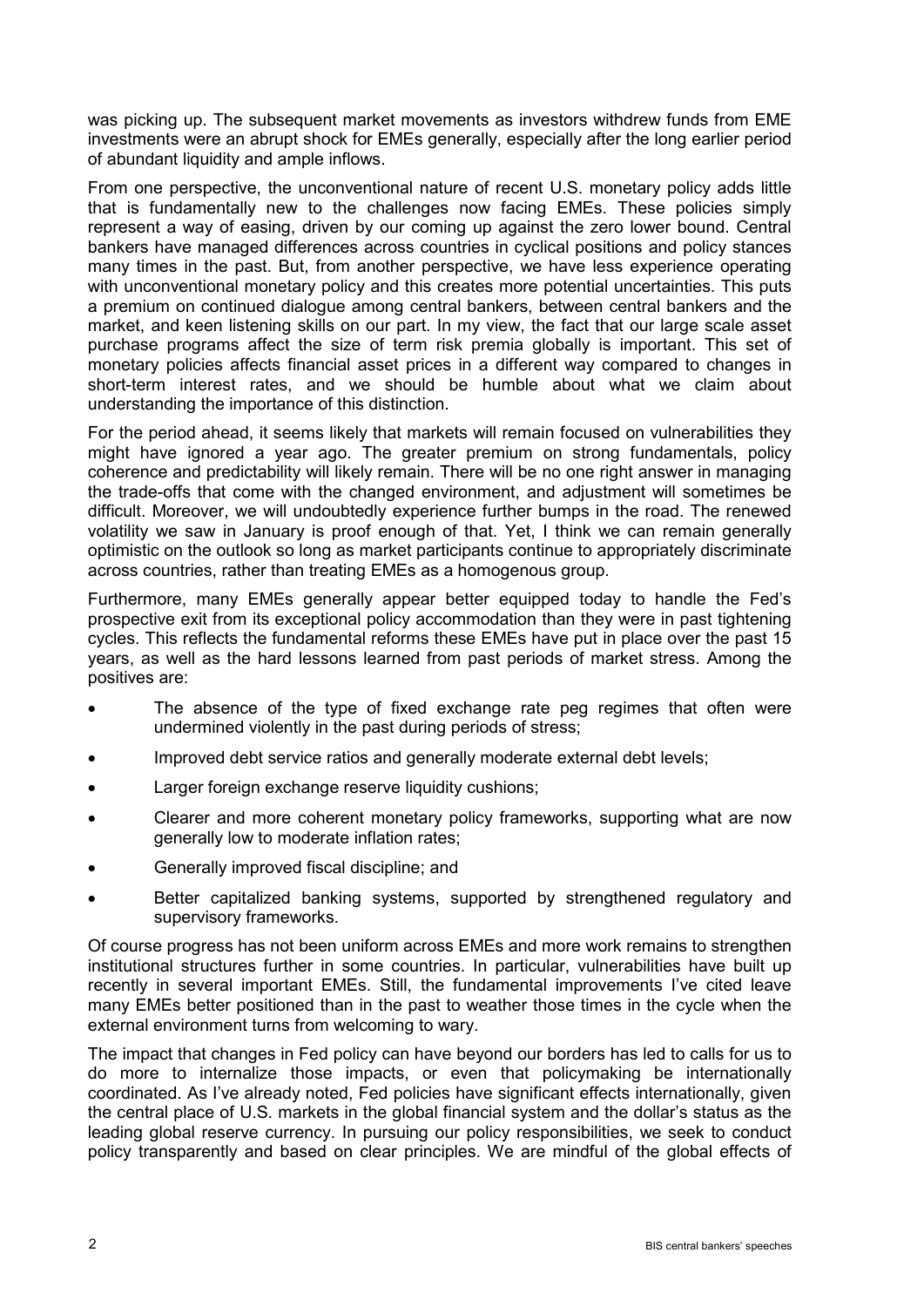was picking up. The subsequent market movements as investors withdrew funds from EME investments were an abrupt shock for EMEs generally, especially after the long earlier period of abundant liquidity and ample inflows.

From one perspective, the unconventional nature of recent U.S. monetary policy adds little that is fundamentally new to the challenges now facing EMEs. These policies simply represent a way of easing, driven by our coming up against the zero lower bound. Central bankers have managed differences across countries in cyclical positions and policy stances many times in the past. But, from another perspective, we have less experience operating with unconventional monetary policy and this creates more potential uncertainties. This puts a premium on continued dialogue among central bankers, between central bankers and the market, and keen listening skills on our part. In my view, the fact that our large scale asset purchase programs affect the size of term risk premia globally is important. This set of monetary policies affects financial asset prices in a different way compared to changes in short-term interest rates, and we should be humble about what we claim about understanding the importance of this distinction.

For the period ahead, it seems likely that markets will remain focused on vulnerabilities they might have ignored a year ago. The greater premium on strong fundamentals, policy coherence and predictability will likely remain. There will be no one right answer in managing the trade-offs that come with the changed environment, and adjustment will sometimes be difficult. Moreover, we will undoubtedly experience further bumps in the road. The renewed volatility we saw in January is proof enough of that. Yet, I think we can remain generally optimistic on the outlook so long as market participants continue to appropriately discriminate across countries, rather than treating EMEs as a homogenous group.

Furthermore, many EMEs generally appear better equipped today to handle the Fed's prospective exit from its exceptional policy accommodation than they were in past tightening cycles. This reflects the fundamental reforms these EMEs have put in place over the past 15 years, as well as the hard lessons learned from past periods of market stress. Among the positives are:

- The absence of the type of fixed exchange rate peg regimes that often were undermined violently in the past during periods of stress;
- Improved debt service ratios and generally moderate external debt levels;
- Larger foreign exchange reserve liquidity cushions;
- Clearer and more coherent monetary policy frameworks, supporting what are now generally low to moderate inflation rates;
- Generally improved fiscal discipline; and
- Better capitalized banking systems, supported by strengthened regulatory and supervisory frameworks.

Of course progress has not been uniform across EMEs and more work remains to strengthen institutional structures further in some countries. In particular, vulnerabilities have built up recently in several important EMEs. Still, the fundamental improvements I've cited leave many EMEs better positioned than in the past to weather those times in the cycle when the external environment turns from welcoming to wary.

The impact that changes in Fed policy can have beyond our borders has led to calls for us to do more to internalize those impacts, or even that policymaking be internationally coordinated. As I've already noted, Fed policies have significant effects internationally, given the central place of U.S. markets in the global financial system and the dollar's status as the leading global reserve currency. In pursuing our policy responsibilities, we seek to conduct policy transparently and based on clear principles. We are mindful of the global effects of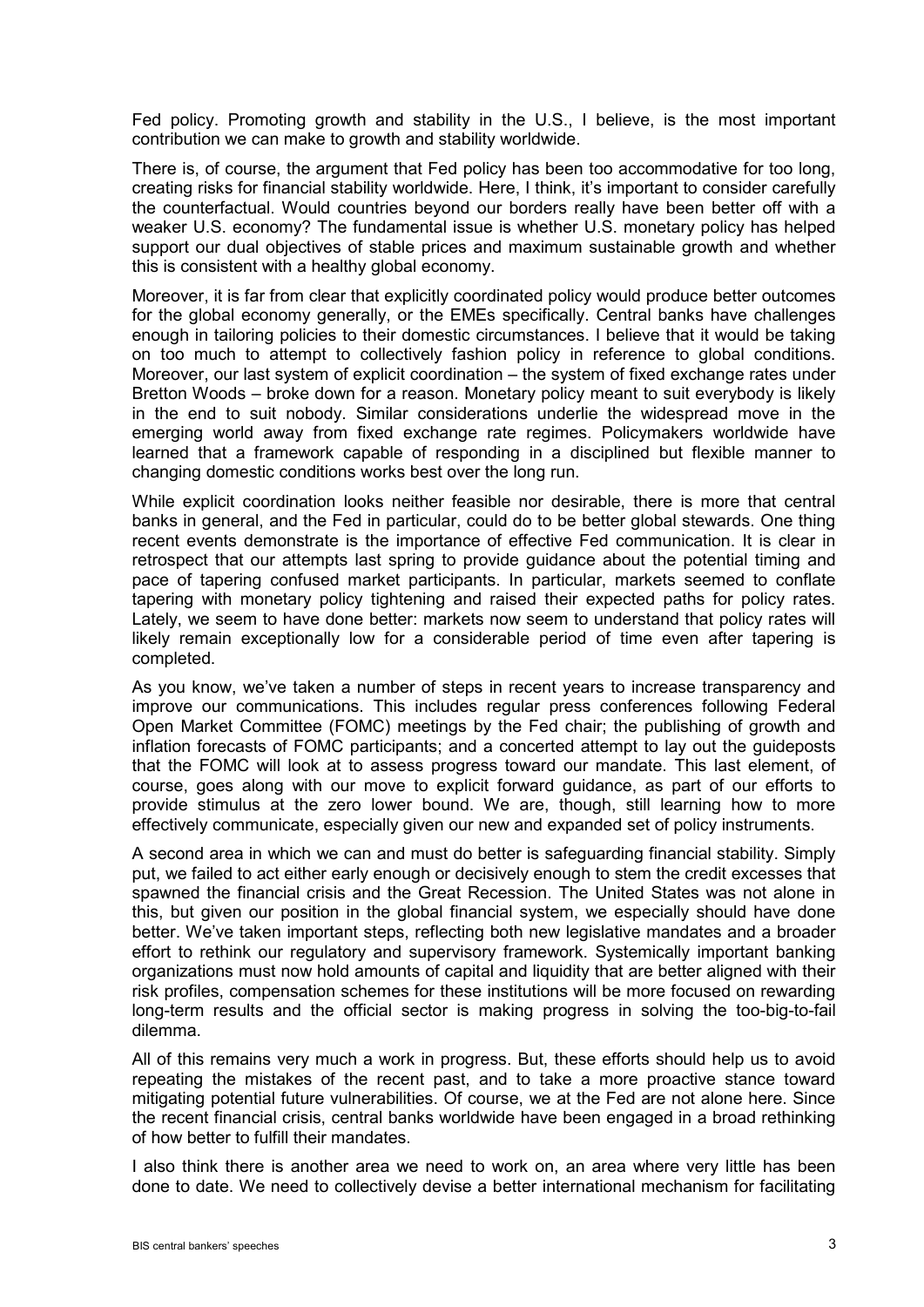Fed policy. Promoting growth and stability in the U.S., I believe, is the most important contribution we can make to growth and stability worldwide.

There is, of course, the argument that Fed policy has been too accommodative for too long, creating risks for financial stability worldwide. Here, I think, it's important to consider carefully the counterfactual. Would countries beyond our borders really have been better off with a weaker U.S. economy? The fundamental issue is whether U.S. monetary policy has helped support our dual objectives of stable prices and maximum sustainable growth and whether this is consistent with a healthy global economy.

Moreover, it is far from clear that explicitly coordinated policy would produce better outcomes for the global economy generally, or the EMEs specifically. Central banks have challenges enough in tailoring policies to their domestic circumstances. I believe that it would be taking on too much to attempt to collectively fashion policy in reference to global conditions. Moreover, our last system of explicit coordination – the system of fixed exchange rates under Bretton Woods – broke down for a reason. Monetary policy meant to suit everybody is likely in the end to suit nobody. Similar considerations underlie the widespread move in the emerging world away from fixed exchange rate regimes. Policymakers worldwide have learned that a framework capable of responding in a disciplined but flexible manner to changing domestic conditions works best over the long run.

While explicit coordination looks neither feasible nor desirable, there is more that central banks in general, and the Fed in particular, could do to be better global stewards. One thing recent events demonstrate is the importance of effective Fed communication. It is clear in retrospect that our attempts last spring to provide guidance about the potential timing and pace of tapering confused market participants. In particular, markets seemed to conflate tapering with monetary policy tightening and raised their expected paths for policy rates. Lately, we seem to have done better: markets now seem to understand that policy rates will likely remain exceptionally low for a considerable period of time even after tapering is completed.

As you know, we've taken a number of steps in recent years to increase transparency and improve our communications. This includes regular press conferences following Federal Open Market Committee (FOMC) meetings by the Fed chair; the publishing of growth and inflation forecasts of FOMC participants; and a concerted attempt to lay out the guideposts that the FOMC will look at to assess progress toward our mandate. This last element, of course, goes along with our move to explicit forward guidance, as part of our efforts to provide stimulus at the zero lower bound. We are, though, still learning how to more effectively communicate, especially given our new and expanded set of policy instruments.

A second area in which we can and must do better is safeguarding financial stability. Simply put, we failed to act either early enough or decisively enough to stem the credit excesses that spawned the financial crisis and the Great Recession. The United States was not alone in this, but given our position in the global financial system, we especially should have done better. We've taken important steps, reflecting both new legislative mandates and a broader effort to rethink our regulatory and supervisory framework. Systemically important banking organizations must now hold amounts of capital and liquidity that are better aligned with their risk profiles, compensation schemes for these institutions will be more focused on rewarding long-term results and the official sector is making progress in solving the too-big-to-fail dilemma.

All of this remains very much a work in progress. But, these efforts should help us to avoid repeating the mistakes of the recent past, and to take a more proactive stance toward mitigating potential future vulnerabilities. Of course, we at the Fed are not alone here. Since the recent financial crisis, central banks worldwide have been engaged in a broad rethinking of how better to fulfill their mandates.

I also think there is another area we need to work on, an area where very little has been done to date. We need to collectively devise a better international mechanism for facilitating